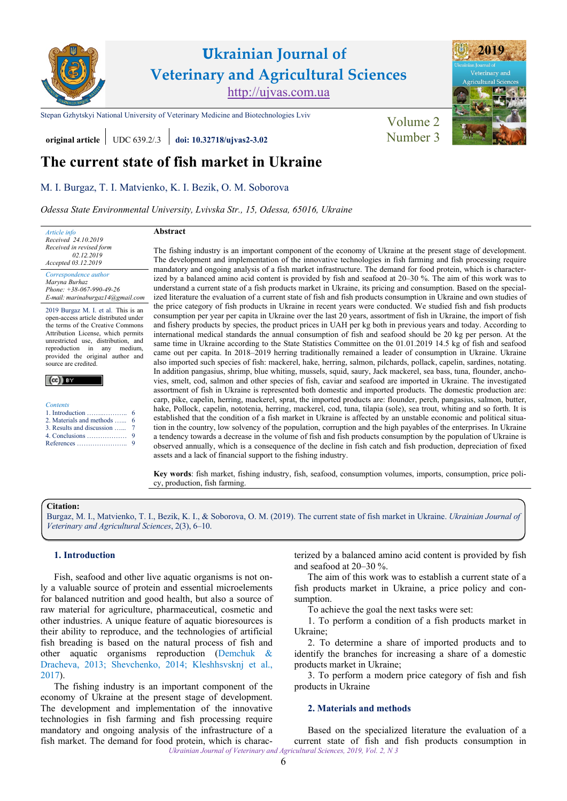

# **Ukrainian Journal of Veterinary and Agricultural Sciences** [http://ujvas.com.ua](http://ujvas.com.ua/)

[Stepan Gzhytskyi National University of Veterinary Medicine and Biotechnologies Lviv](http://ujvas.com.ua) [Volume 2](https://ujvas.com.ua/index.php/journal/issue/view/5)

**original article** UDC 639.2/.3 *doi:* 10.32718/ujvas2-3.02 Number 3

## **The current state of fish market in Ukraine**

## [M. I. Burgaz,](http://orcid.org/0000-0003-1551-6002) [T. I. Matvienko](https://orcid.org/0000-0002-2011-2494), [K. I. Bezik](https://orcid.org/0000-0001-7208-1645), [O. M. Soborova](https://orcid.org/0000-0003-4065-6242)

*Odessa State Environmental University, Lvivska Str., 15, Odessa, 65016, Ukraine*

*Article info Received 24.10.2019 Received in revised form 02.12.2019 Accepted 03.12.2019*

*Correspondence author [Maryna Burhaz](https://scholar.google.com.ua/citations?hl=ru&user=s3YvabwAAAAJ) Phone: +38-067-990-49-26* 

*E-mail[: marinaburgaz14@gmail.com](mailto:marinaburgaz14@gmail.com)*

2019 Burgaz M. I. et al. This is an open-access article distributed under the terms of the Creative Commons Attribution License, which permits unrestricted use, distribution, and reproduction in any medium, provided the original author and source are credited.

|--|

| <b>Contents</b>          |  |  |
|--------------------------|--|--|
|                          |  |  |
| 2. Materials and methods |  |  |

| 2. Materials and methods  6  |  |
|------------------------------|--|
| 3. Results and discussion  7 |  |
|                              |  |
|                              |  |

6

#### **Abstract**

The fishing industry is an important component of the economy of Ukraine at the present stage of development. The development and implementation of the innovative technologies in fish farming and fish processing require mandatory and ongoing analysis of a fish market infrastructure. The demand for food protein, which is characterized by a balanced amino acid content is provided by fish and seafood at 20–30 %. The aim of this work was to understand a current state of a fish products market in Ukraine, its pricing and consumption. Based on the specialized literature the evaluation of a current state of fish and fish products consumption in Ukraine and own studies of the price category of fish products in Ukraine in recent years were conducted. We studied fish and fish products consumption per year per capita in Ukraine over the last 20 years, assortment of fish in Ukraine, the import of fish and fishery products by species, the product prices in UAH per kg both in previous years and today. According to international medical standards the annual consumption of fish and seafood should be 20 kg per person. At the same time in Ukraine according to the State Statistics Committee on the 01.01.2019 14.5 kg of fish and seafood came out per capita. In 2018–2019 herring traditionally remained a leader of consumption in Ukraine. Ukraine also imported such species of fish: mackerel, hake, herring, salmon, pilchards, pollack, capelin, sardines, notating. In addition pangasius, shrimp, blue whiting, mussels, squid, saury, Jack mackerel, sea bass, tuna, flounder, anchovies, smelt, cod, salmon and other species of fish, caviar and seafood are imported in Ukraine. The investigated assortment of fish in Ukraine is represented both domestic and imported products. The domestic production are: carp, pike, capelin, herring, mackerel, sprat, the imported products are: flounder, perch, pangasius, salmon, butter, hake, Pollock, capelin, nototenia, herring, mackerel, cod, tuna, tilapia (sole), sea trout, whiting and so forth. It is established that the condition of a fish market in Ukraine is affected by an unstable economic and political situation in the country, low solvency of the population, corruption and the high payables of the enterprises. In Ukraine a tendency towards a decrease in the volume of fish and fish products consumption by the population of Ukraine is observed annually, which is a consequence of the decline in fish catch and fish production, depreciation of fixed assets and a lack of financial support to the fishing industry.

**Key words**: fish market, fishing industry, fish, seafood, consumption volumes, imports, consumption, price policy, production, fish farming.

## **Citation:**

[Burgaz, M. I., Matvienko, T. I., Bezik, K. I., & Soborova,](https://doi.org/10.32718/ujvas2-3.02) O. M. (2019). The current state of fish market in Ukraine. *Ukrainian Journal of Veterinary and Agricultural Sciences*, 2(3), 6–10.

## **1. Introduction**

Fish, seafood and other live aquatic organisms is not only a valuable source of protein and essential microelements for balanced nutrition and good health, but also a source of raw material for agriculture, pharmaceutical, cosmetic and other industries. A unique feature of aquatic bioresources is their ability to reproduce, and the technologies of artificial fish breading is based on the natural process of fish and other aquatic organisms reproduction [\(Demchuk &](#page-3-0) [Dracheva, 2013;](#page-3-0) [Shevchenko, 2014;](#page-4-0) [Kleshhsvsknj](#page-4-0) et al., [2017\)](#page-4-0).

The fishing industry is an important component of the economy of Ukraine at the present stage of development. The development and implementation of the innovative technologies in fish farming and fish processing require mandatory and ongoing analysis of the infrastructure of a fish market. The demand for food protein, which is characterized by a balanced amino acid content is provided by fish and seafood at 20–30 %.

The aim of this work was to establish a current state of a fish products market in Ukraine, a price policy and consumption.

To achieve the goal the next tasks were set:

1. To perform a condition of a fish products market in Ukraine;

2. To determine a share of imported products and to identify the branches for increasing a share of a domestic products market in Ukraine;

3. To perform a modern price category of fish and fish products in Ukraine

## **2. Materials and methods**

*Ukrainian Journal of Veterinary and Agricultural Sciences, 2019, Vol. 2, N 3* Based on the specialized literature the evaluation of a current state of fish and fish products consumption in

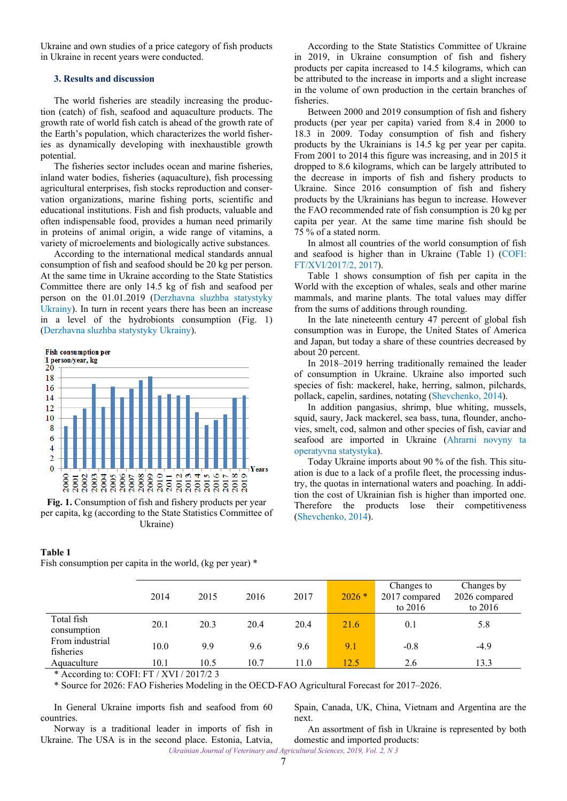<span id="page-1-0"></span>Ukraine and own studies of a price category of fish products in Ukraine in recent years were conducted.

## **3. Results and discussion**

The world fisheries are steadily increasing the production (catch) of fish, seafood and aquaculture products. The growth rate of world fish catch is ahead of the growth rate of the Earth's population, which characterizes the world fisheries as dynamically developing with inexhaustible growth potential.

The fisheries sector includes ocean and marine fisheries, inland water bodies, fisheries (aquaculture), fish processing agricultural enterprises, fish stocks reproduction and conservation organizations, marine fishing ports, scientific and educational institutions. Fish and fish products, valuable and often indispensable food, provides a human need primarily in proteins of animal origin, a wide range of vitamins, a variety of microelements and biologically active substances.

According to the international medical standards annual consumption of fish and seafood should be 20 kg per person. At the same time in Ukraine according to the State Statistics Committee there are only 14.5 kg of fish and seafood per person on the 01.01.2019 [\(Derzhavna sluzhba statystyky](#page-4-0) [Ukrainy](#page-4-0)). In turn in recent years there has been an increase in a level of the hydrobionts consumption (Fig. 1) ([Derzhavna sluzhba statystyky Ukrainy\)](#page-4-0).



**Fig. 1.** Consumption of fish and fishery products per year per capita, kg (according to the State Statistics Committee of Ukraine)

### **Table 1**

Fish consumption per capita in the world, (kg per year) \*

According to the State Statistics Committee of Ukraine in 2019, in Ukraine consumption of fish and fishery products per capita increased to 14.5 kilograms, which can be attributed to the increase in imports and a slight increase in the volume of own production in the certain branches of fisheries.

Between 2000 and 2019 consumption of fish and fishery products (per year per capita) varied from 8.4 in 2000 to 18.3 in 2009. Today consumption of fish and fishery products by the Ukrainians is 14.5 kg per year per capita. From 2001 to 2014 this figure was increasing, and in 2015 it dropped to 8.6 kilograms, which can be largely attributed to the decrease in imports of fish and fishery products to Ukraine. Since 2016 consumption of fish and fishery products by the Ukrainians has begun to increase. However the FAO recommended rate of fish consumption is 20 kg per capita per year. At the same time marine fish should be 75 % of a stated norm.

In almost all countries of the world consumption of fish and seafood is higher than in Ukraine (Table 1) [\(COFI:](#page-3-0)  [FT/XVI/2017/2, 2017\)](#page-3-0).

Table 1 shows consumption of fish per capita in the World with the exception of whales, seals and other marine mammals, and marine plants. The total values may differ from the sums of additions through rounding.

In the late nineteenth century 47 percent of global fish consumption was in Europe, the United States of America and Japan, but today a share of these countries decreased by about 20 percent.

In 2018–2019 herring traditionally remained the leader of consumption in Ukraine. Ukraine also imported such species of fish: mackerel, hake, herring, salmon, pilchards, pollack, capelin, sardines, notating ([Shevchenko, 2014\)](#page-4-0).

In addition pangasius, shrimp, blue whiting, mussels, squid, saury, Jack mackerel, sea bass, tuna, flounder, anchovies, smelt, cod, salmon and other species of fish, caviar and seafood are imported in Ukraine [\(Ahrarni novyny ta](#page-3-0)  [operatyvna statystyka\)](#page-3-0).

Today Ukraine imports about 90 % of the fish. This situation is due to a lack of a profile fleet, the processing industry, the quotas in international waters and poaching. In addition the cost of Ukrainian fish is higher than imported one. Therefore the products lose their competitiveness [\(Shevchenko, 2014](#page-4-0)).

|                              | 2014 | 2015 | 2016 | 2017 | $2026*$ | Changes to<br>2017 compared<br>to $2016$ | Changes by<br>2026 compared<br>to $2016$ |
|------------------------------|------|------|------|------|---------|------------------------------------------|------------------------------------------|
| Total fish<br>consumption    | 20.1 | 20.3 | 20.4 | 20.4 | 21.6    | 0.1                                      | 5.8                                      |
| From industrial<br>fisheries | 10.0 | 9.9  | 9.6  | 9.6  | 9.1     | $-0.8$                                   | $-4.9$                                   |
| Aquaculture<br>$-1$ $-1$     | 10.1 | 10.5 | 10.7 | 11.0 | 12.5    | 2.6                                      | 13.3                                     |

\* According to: COFI: FT / XVI / 2017/2 3

\* Source for 2026: FAO Fisheries Modeling in the OECD-FAO Agricultural Forecast for 2017–2026.

In General Ukraine imports fish and seafood from 60 countries.

Spain, Canada, UK, China, Vietnam and Argentina are the next.

Norway is a traditional leader in imports of fish in Ukraine. The USA is in the second place. Estonia, Latvia,

An assortment of fish in Ukraine is represented by both domestic and imported products:

*Ukrainian Journal of Veterinary and Agricultural Sciences, 2019, Vol. 2, N 3*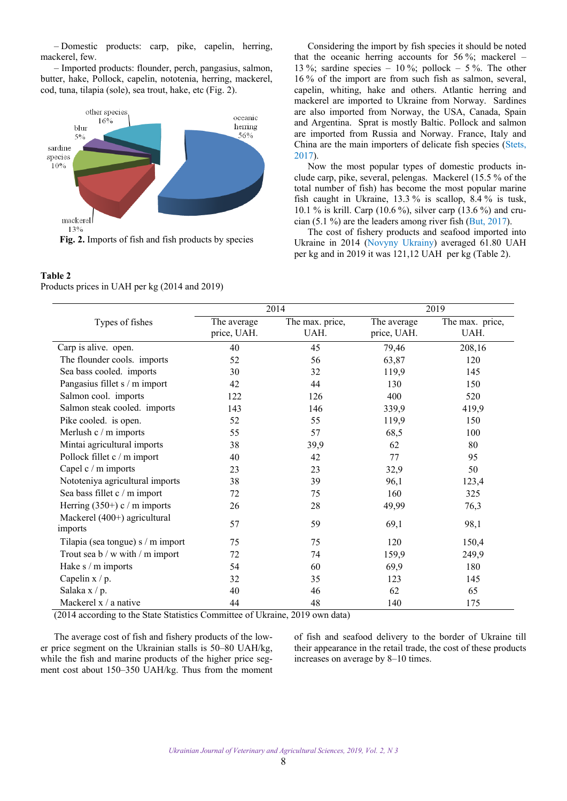‒ Domestic products: carp, pike, capelin, herring, mackerel, few.

‒ Imported products: flounder, perch, pangasius, salmon, butter, hake, Pollock, capelin, nototenia, herring, mackerel, cod, tuna, tilapia (sole), sea trout, hake, etc (Fig. 2).



## **Table 2**

Products prices in UAH per kg (2014 and 2019)

Considering the import by fish species it should be noted that the oceanic herring accounts for 56 %; mackerel – 13 %; sardine species  $-10$  %; pollock  $-5$  %. The other 16 % of the import are from such fish as salmon, several, capelin, whiting, hake and others. Atlantic herring and mackerel are imported to Ukraine from Norway. Sardines are also imported from Norway, the USA, Canada, Spain and Argentina. Sprat is mostly Baltic. Pollock and salmon are imported from Russia and Norway. France, Italy and China are the main importers of delicate fish species ([Stets,](#page-4-0) [2017](#page-4-0)).

Now the most popular types of domestic products include carp, pike, several, pelengas. Mackerel (15.5 % of the total number of fish) has become the most popular marine fish caught in Ukraine, 13.3 % is scallop, 8.4 % is tusk, 10.1 % is krill. Carp (10.6 %), silver carp (13.6 %) and crucian (5.1 %) are the leaders among river fish (But, [2017](#page-3-0)).

The cost of fishery products and seafood imported into Ukraine in 2014 [\(Novyny Ukrainy\)](#page-4-0) averaged 61.80 UAH per kg and in 2019 it was 121,12 UAH per kg (Table 2).

|                                         |                            | 2014                    | 2019                       |                         |  |
|-----------------------------------------|----------------------------|-------------------------|----------------------------|-------------------------|--|
| Types of fishes                         | The average<br>price, UAH. | The max. price,<br>UAH. | The average<br>price, UAH. | The max. price,<br>UAH. |  |
| Carp is alive. open.                    | 40                         | 45                      | 79,46                      | 208,16                  |  |
| The flounder cools. imports             | 52                         | 56                      | 63,87                      | 120                     |  |
| Sea bass cooled. imports                | 30                         | 32                      | 119,9                      | 145                     |  |
| Pangasius fillet s / m import           | 42                         | 44                      | 130                        | 150                     |  |
| Salmon cool. imports                    | 122                        | 126                     | 400                        | 520                     |  |
| Salmon steak cooled. imports            | 143                        | 146                     | 339,9                      | 419,9                   |  |
| Pike cooled. is open.                   | 52                         | 55                      | 119,9                      | 150                     |  |
| Merlush c / m imports                   | 55                         | 57                      | 68,5                       | 100                     |  |
| Mintai agricultural imports             | 38                         | 39,9                    | 62                         | 80                      |  |
| Pollock fillet c / m import             | 40                         | 42                      | 77                         | 95                      |  |
| Capel c / m imports                     | 23                         | 23                      | 32,9                       | 50                      |  |
| Nototeniya agricultural imports         | 38                         | 39                      | 96,1                       | 123,4                   |  |
| Sea bass fillet c / m import            | 72                         | 75                      | 160                        | 325                     |  |
| Herring $(350+)$ c / m imports          | 26                         | 28                      | 49,99                      | 76,3                    |  |
| Mackerel (400+) agricultural<br>imports | 57                         | 59                      | 69,1                       | 98,1                    |  |
| Tilapia (sea tongue) s / m import       | 75                         | 75                      | 120                        | 150,4                   |  |
| Trout sea b / w with / m import         | 72                         | 74                      | 159,9                      | 249,9                   |  |
| Hake s / m imports                      | 54                         | 60                      | 69,9                       | 180                     |  |
| Capelin $x/p$ .                         | 32                         | 35                      | 123                        | 145                     |  |
| Salaka x / p.                           | 40                         | 46                      | 62                         | 65                      |  |
| Mackerel $x / a$ native                 | 44                         | 48                      | 140                        | 175                     |  |

(2014 according to the State Statistics Committee of Ukraine, 2019 own data)

The average cost of fish and fishery products of the lower price segment on the Ukrainian stalls is 50–80 UAH/kg, while the fish and marine products of the higher price segment cost about 150–350 UAH/kg. Thus from the moment of fish and seafood delivery to the border of Ukraine till their appearance in the retail trade, the cost of these products increases on average by 8–10 times.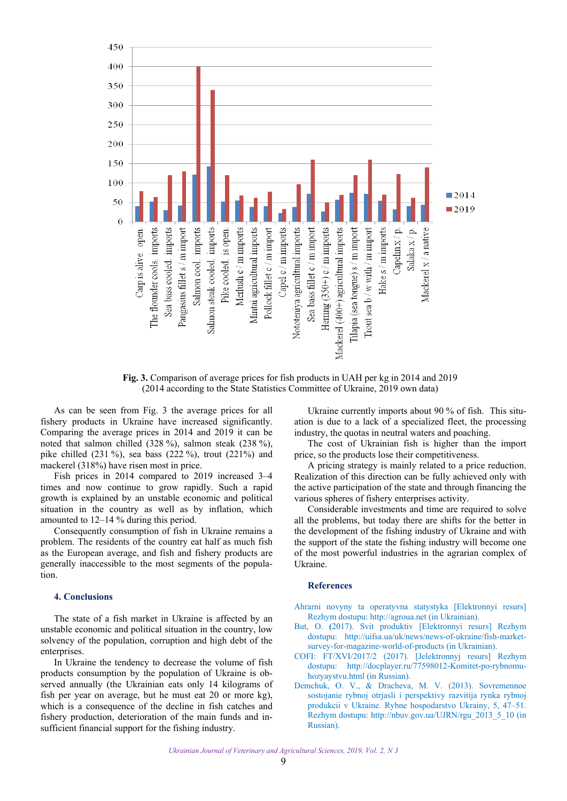<span id="page-3-0"></span>

**Fig. 3.** Comparison of average prices for fish products in UAH per kg in 2014 and 2019 (2014 according to the State Statistics Committee of Ukraine, 2019 own data)

As can be seen from Fig. 3 the average prices for all fishery products in Ukraine have increased significantly. Comparing the average prices in 2014 and 2019 it can be noted that salmon chilled (328 %), salmon steak (238 %), pike chilled (231 %), sea bass (222 %), trout (221%) and mackerel (318%) have risen most in price.

Fish prices in 2014 compared to 2019 increased 3–4 times and now continue to grow rapidly. Such a rapid growth is explained by an unstable economic and political situation in the country as well as by inflation, which amounted to 12–14 % during this period.

Consequently consumption of fish in Ukraine remains a problem. The residents of the country eat half as much fish as the European average, and fish and fishery products are generally inaccessible to the most segments of the population.

### **4. Conclusions**

The state of a fish market in Ukraine is affected by an unstable economic and political situation in the country, low solvency of the population, corruption and high debt of the enterprises.

In Ukraine the tendency to decrease the volume of fish products consumption by the population of Ukraine is observed annually (the Ukrainian eats only 14 kilograms of fish per year on average, but he must eat 20 or more kg), which is a consequence of the decline in fish catches and fishery production, deterioration of the main funds and insufficient financial support for the fishing industry.

Ukraine currently imports about 90 % of fish. This situation is due to a lack of a specialized fleet, the processing industry, the quotas in neutral waters and poaching.

The cost of Ukrainian fish is higher than the import price, so the products lose their competitiveness.

A pricing strategy is mainly related to a price reduction. Realization of this direction can be fully achieved only with the active participation of the state and through financing the various spheres of fishery enterprises activity.

Considerable investments and time are required to solve all the problems, but today there are shifts for the better in the development of the fishing industry of Ukraine and with the support of the state the fishing industry will become one of the most powerful industries in the agrarian complex of Ukraine.

### **References**

[Ahrarni novyny ta operatyvna statystyka \[Elektronnyi resurs\]](http://agroua.net)  Rezhym dostupu: [http://agroua.net](http://agroua.net/) (in Ukrainian).

- But, O. **(**2017). Svit produktiv [Elektronnyi resurs] Rezhym dostupu: [http://uifsa.ua/uk/news/news-of-ukraine/fish-market](http://uifsa.ua/uk/news/news-of-ukraine/fish-market-survey-for-magazine-world-of-products)[survey-for-magazine-world-of-products](http://uifsa.ua/uk/news/news-of-ukraine/fish-market-survey-for-magazine-world-of-products) (in Ukrainian).
- COFI: FT/XVI/2017/2 (2017). [Jelektronnyj resurs] Rezhym dostupu: [http://docplayer.ru/77598012-Komitet-po-rybnomu](http://docplayer.ru/77598012-Komitet-po-rybnomu-hozyaystvu.html)[hozyaystvu.html](http://docplayer.ru/77598012-Komitet-po-rybnomu-hozyaystvu.html) (in Russian).
- [Demchuk, O. V., & Dracheva, M. V. \(2013\). Sovremennoe](http://nbuv.gov.ua/UJRN/rgu_2013_5_10)  sostojanie rybnoj otrjasli i perspektivy razvitija rynka rybnoj produkcii v Ukraine. Rybne hospodarstvo Ukrainy, 5, 47–51. Rezhym dostupu: [http://nbuv.gov.ua/UJRN/rgu\\_2013\\_5\\_10](http://www.irbis-nbuv.gov.ua/cgi-bin/irbis_nbuv/cgiirbis_64.exe?I21DBN=LINK&P21DBN=UJRN&Z21ID=&S21REF=10&S21CNR=20&S21STN=1&S21FMT=ASP_meta&C21COM=S&2_S21P03=FILA=&2_S21STR=rgu_2013_5_10) (in Russian).

*Ukrainian Journal of Veterinary and Agricultural Sciences, 2019, Vol. 2, N 3*